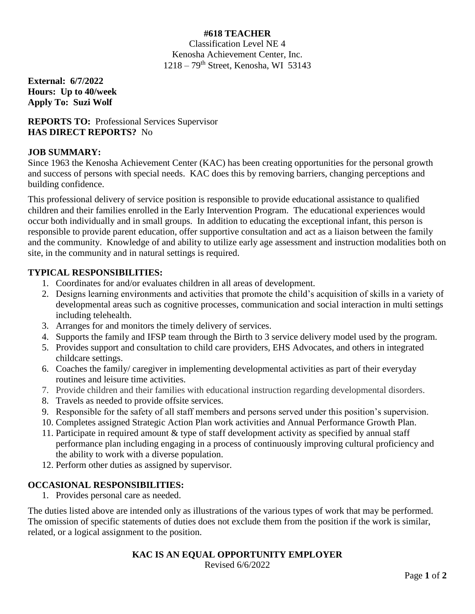# **#618 TEACHER**

Classification Level NE 4 Kenosha Achievement Center, Inc.  $1218 - 79$ <sup>th</sup> Street, Kenosha, WI 53143

**External: 6/7/2022 Hours: Up to 40/week Apply To: Suzi Wolf**

## **REPORTS TO:** Professional Services Supervisor **HAS DIRECT REPORTS?** No

## **JOB SUMMARY:**

Since 1963 the Kenosha Achievement Center (KAC) has been creating opportunities for the personal growth and success of persons with special needs. KAC does this by removing barriers, changing perceptions and building confidence.

This professional delivery of service position is responsible to provide educational assistance to qualified children and their families enrolled in the Early Intervention Program. The educational experiences would occur both individually and in small groups. In addition to educating the exceptional infant, this person is responsible to provide parent education, offer supportive consultation and act as a liaison between the family and the community. Knowledge of and ability to utilize early age assessment and instruction modalities both on site, in the community and in natural settings is required.

## **TYPICAL RESPONSIBILITIES:**

- 1. Coordinates for and/or evaluates children in all areas of development.
- 2. Designs learning environments and activities that promote the child's acquisition of skills in a variety of developmental areas such as cognitive processes, communication and social interaction in multi settings including telehealth.
- 3. Arranges for and monitors the timely delivery of services.
- 4. Supports the family and IFSP team through the Birth to 3 service delivery model used by the program.
- 5. Provides support and consultation to child care providers, EHS Advocates, and others in integrated childcare settings.
- 6. Coaches the family/ caregiver in implementing developmental activities as part of their everyday routines and leisure time activities.
- 7. Provide children and their families with educational instruction regarding developmental disorders.
- 8. Travels as needed to provide offsite services.
- 9. Responsible for the safety of all staff members and persons served under this position's supervision.
- 10. Completes assigned Strategic Action Plan work activities and Annual Performance Growth Plan.
- 11. Participate in required amount & type of staff development activity as specified by annual staff performance plan including engaging in a process of continuously improving cultural proficiency and the ability to work with a diverse population.
- 12. Perform other duties as assigned by supervisor.

## **OCCASIONAL RESPONSIBILITIES:**

1. Provides personal care as needed.

The duties listed above are intended only as illustrations of the various types of work that may be performed. The omission of specific statements of duties does not exclude them from the position if the work is similar, related, or a logical assignment to the position.

## **KAC IS AN EQUAL OPPORTUNITY EMPLOYER**

Revised 6/6/2022